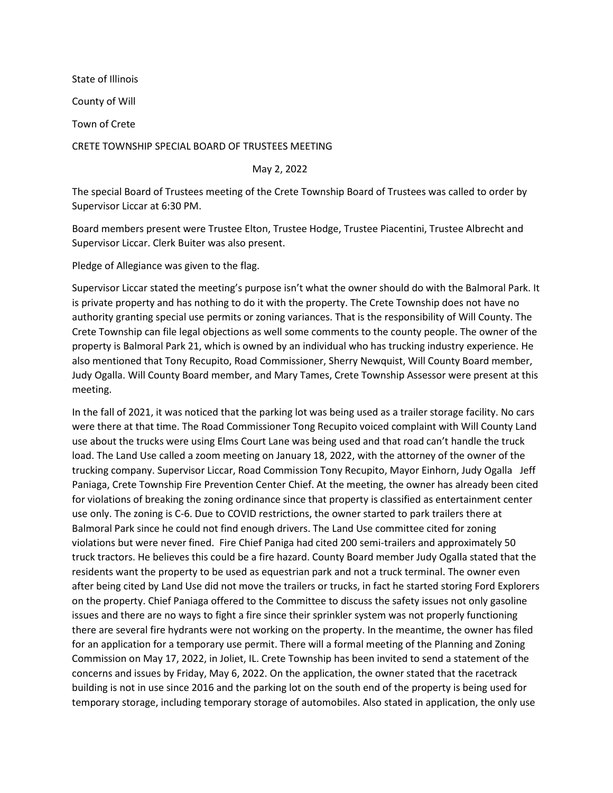State of Illinois County of Will Town of Crete CRETE TOWNSHIP SPECIAL BOARD OF TRUSTEES MEETING

May 2, 2022

The special Board of Trustees meeting of the Crete Township Board of Trustees was called to order by Supervisor Liccar at 6:30 PM.

Board members present were Trustee Elton, Trustee Hodge, Trustee Piacentini, Trustee Albrecht and Supervisor Liccar. Clerk Buiter was also present.

Pledge of Allegiance was given to the flag.

Supervisor Liccar stated the meeting's purpose isn't what the owner should do with the Balmoral Park. It is private property and has nothing to do it with the property. The Crete Township does not have no authority granting special use permits or zoning variances. That is the responsibility of Will County. The Crete Township can file legal objections as well some comments to the county people. The owner of the property is Balmoral Park 21, which is owned by an individual who has trucking industry experience. He also mentioned that Tony Recupito, Road Commissioner, Sherry Newquist, Will County Board member, Judy Ogalla. Will County Board member, and Mary Tames, Crete Township Assessor were present at this meeting.

In the fall of 2021, it was noticed that the parking lot was being used as a trailer storage facility. No cars were there at that time. The Road Commissioner Tong Recupito voiced complaint with Will County Land use about the trucks were using Elms Court Lane was being used and that road can't handle the truck load. The Land Use called a zoom meeting on January 18, 2022, with the attorney of the owner of the trucking company. Supervisor Liccar, Road Commission Tony Recupito, Mayor Einhorn, Judy Ogalla Jeff Paniaga, Crete Township Fire Prevention Center Chief. At the meeting, the owner has already been cited for violations of breaking the zoning ordinance since that property is classified as entertainment center use only. The zoning is C-6. Due to COVID restrictions, the owner started to park trailers there at Balmoral Park since he could not find enough drivers. The Land Use committee cited for zoning violations but were never fined. Fire Chief Paniga had cited 200 semi-trailers and approximately 50 truck tractors. He believes this could be a fire hazard. County Board member Judy Ogalla stated that the residents want the property to be used as equestrian park and not a truck terminal. The owner even after being cited by Land Use did not move the trailers or trucks, in fact he started storing Ford Explorers on the property. Chief Paniaga offered to the Committee to discuss the safety issues not only gasoline issues and there are no ways to fight a fire since their sprinkler system was not properly functioning there are several fire hydrants were not working on the property. In the meantime, the owner has filed for an application for a temporary use permit. There will a formal meeting of the Planning and Zoning Commission on May 17, 2022, in Joliet, IL. Crete Township has been invited to send a statement of the concerns and issues by Friday, May 6, 2022. On the application, the owner stated that the racetrack building is not in use since 2016 and the parking lot on the south end of the property is being used for temporary storage, including temporary storage of automobiles. Also stated in application, the only use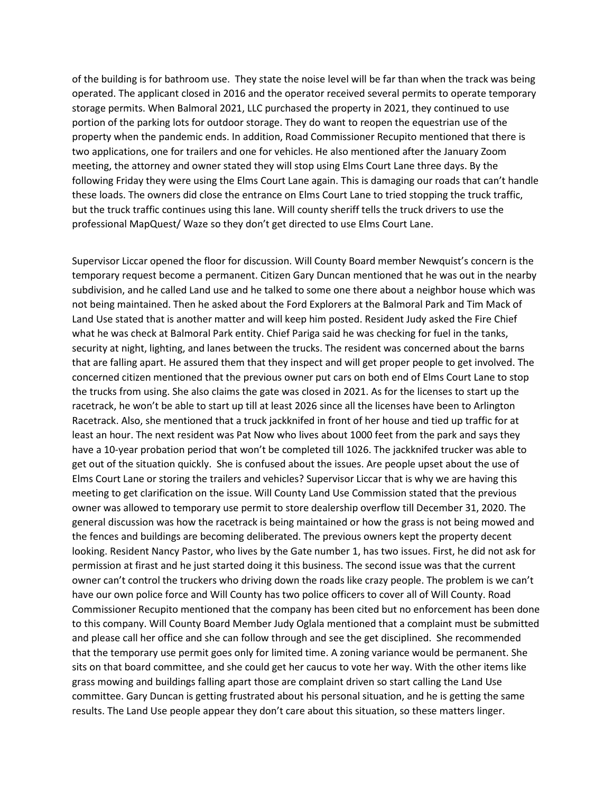of the building is for bathroom use. They state the noise level will be far than when the track was being operated. The applicant closed in 2016 and the operator received several permits to operate temporary storage permits. When Balmoral 2021, LLC purchased the property in 2021, they continued to use portion of the parking lots for outdoor storage. They do want to reopen the equestrian use of the property when the pandemic ends. In addition, Road Commissioner Recupito mentioned that there is two applications, one for trailers and one for vehicles. He also mentioned after the January Zoom meeting, the attorney and owner stated they will stop using Elms Court Lane three days. By the following Friday they were using the Elms Court Lane again. This is damaging our roads that can't handle these loads. The owners did close the entrance on Elms Court Lane to tried stopping the truck traffic, but the truck traffic continues using this lane. Will county sheriff tells the truck drivers to use the professional MapQuest/ Waze so they don't get directed to use Elms Court Lane.

Supervisor Liccar opened the floor for discussion. Will County Board member Newquist's concern is the temporary request become a permanent. Citizen Gary Duncan mentioned that he was out in the nearby subdivision, and he called Land use and he talked to some one there about a neighbor house which was not being maintained. Then he asked about the Ford Explorers at the Balmoral Park and Tim Mack of Land Use stated that is another matter and will keep him posted. Resident Judy asked the Fire Chief what he was check at Balmoral Park entity. Chief Pariga said he was checking for fuel in the tanks, security at night, lighting, and lanes between the trucks. The resident was concerned about the barns that are falling apart. He assured them that they inspect and will get proper people to get involved. The concerned citizen mentioned that the previous owner put cars on both end of Elms Court Lane to stop the trucks from using. She also claims the gate was closed in 2021. As for the licenses to start up the racetrack, he won't be able to start up till at least 2026 since all the licenses have been to Arlington Racetrack. Also, she mentioned that a truck jackknifed in front of her house and tied up traffic for at least an hour. The next resident was Pat Now who lives about 1000 feet from the park and says they have a 10-year probation period that won't be completed till 1026. The jackknifed trucker was able to get out of the situation quickly. She is confused about the issues. Are people upset about the use of Elms Court Lane or storing the trailers and vehicles? Supervisor Liccar that is why we are having this meeting to get clarification on the issue. Will County Land Use Commission stated that the previous owner was allowed to temporary use permit to store dealership overflow till December 31, 2020. The general discussion was how the racetrack is being maintained or how the grass is not being mowed and the fences and buildings are becoming deliberated. The previous owners kept the property decent looking. Resident Nancy Pastor, who lives by the Gate number 1, has two issues. First, he did not ask for permission at firast and he just started doing it this business. The second issue was that the current owner can't control the truckers who driving down the roads like crazy people. The problem is we can't have our own police force and Will County has two police officers to cover all of Will County. Road Commissioner Recupito mentioned that the company has been cited but no enforcement has been done to this company. Will County Board Member Judy Oglala mentioned that a complaint must be submitted and please call her office and she can follow through and see the get disciplined. She recommended that the temporary use permit goes only for limited time. A zoning variance would be permanent. She sits on that board committee, and she could get her caucus to vote her way. With the other items like grass mowing and buildings falling apart those are complaint driven so start calling the Land Use committee. Gary Duncan is getting frustrated about his personal situation, and he is getting the same results. The Land Use people appear they don't care about this situation, so these matters linger.